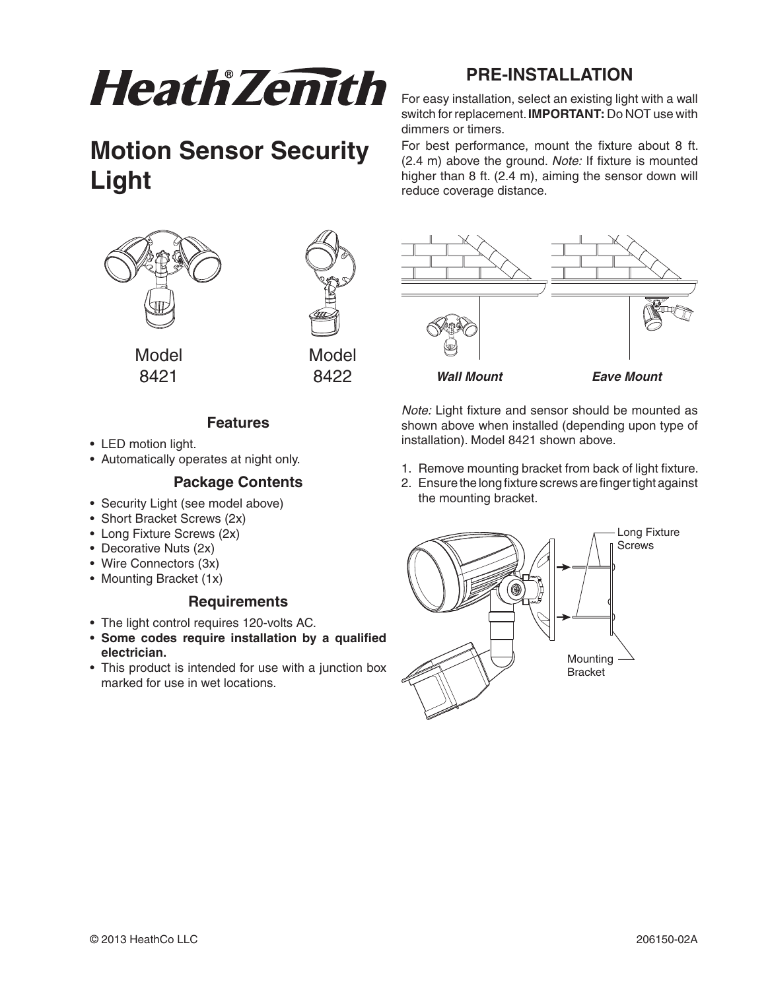

## **Motion Sensor Security Light**





8421 8422

## **Features**

- LED motion light.
- Automatically operates at night only.

#### **Package Contents**

- Security Light (see model above)
- Short Bracket Screws (2x)
- Long Fixture Screws (2x)
- Decorative Nuts (2x)
- Wire Connectors (3x)
- Mounting Bracket (1x)

#### **Requirements**

- The light control requires 120-volts AC.
- **Some codes require installation by a qualified electrician.**
- This product is intended for use with a junction box marked for use in wet locations.

## **PRE-INSTALLATION**

For easv installation, select an existing light with a wall switch for replacement. **IMPORTANT:** Do NOT use with dimmers or timers.

For best performance, mount the fixture about 8 ft.  $(2.4 \text{ m})$  above the ground. Note: If fixture is mounted higher than  $8$  ft. (2.4 m), aiming the sensor down will reduce coverage distance.



Note: Light fixture and sensor should be mounted as shown above when installed (depending upon type of installation). Model 8421 shown above.

- 1. Remove mounting bracket from back of light fixture.
- 2. Ensure the long fixture screws are finger tight against the mounting bracket.

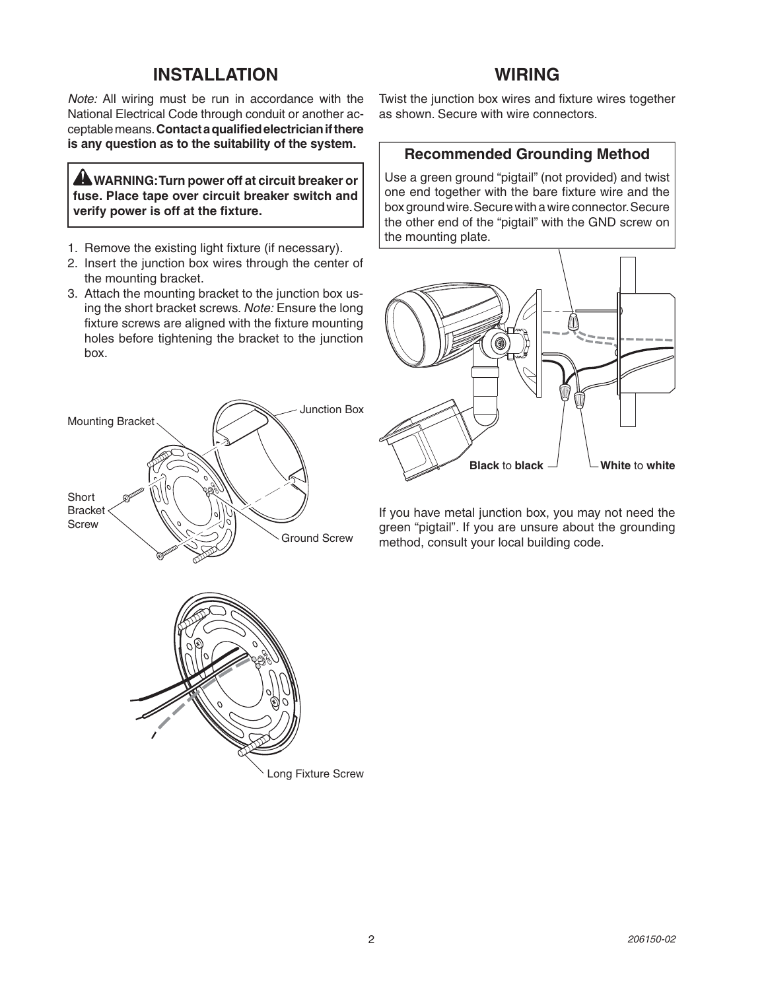#### **INSTALLATION**

Note: All wiring must be run in accordance with the National Electrical Code through conduit or another ac-CEPTABLEMEANS **Contact a qualified electrician if there is any question as to the suitability of the system.**

 **WARNING: Turn power off at circuit breaker or fuse. Place tape over circuit breaker switch and verify power is off at the fixture.**

- 1. Remove the existing light fixture (if necessary).
- 2. Insert the junction box wires through the center of the mounting bracket.
- 3. Attach the mounting bracket to the junction box using the short bracket screws. Note: Ensure the long fixture screws are aligned with the fixture mounting holes before tightening the bracket to the junction box.



#### **WIRING**

Twist the junction box wires and fixture wires together as shown. Secure with wire connectors.

#### **Recommended Grounding Method**

Use a green ground "pigtail" (not provided) and twist one end together with the bare fixture wire and the box ground wire. Secure with a wire connector. Secure the other end of the "pigtail" with the GND screw on the mounting plate.



If you have metal junction box, you may not need the green "pigtail". If you are unsure about the grounding method, consult your local building code.



Long Fixture Screw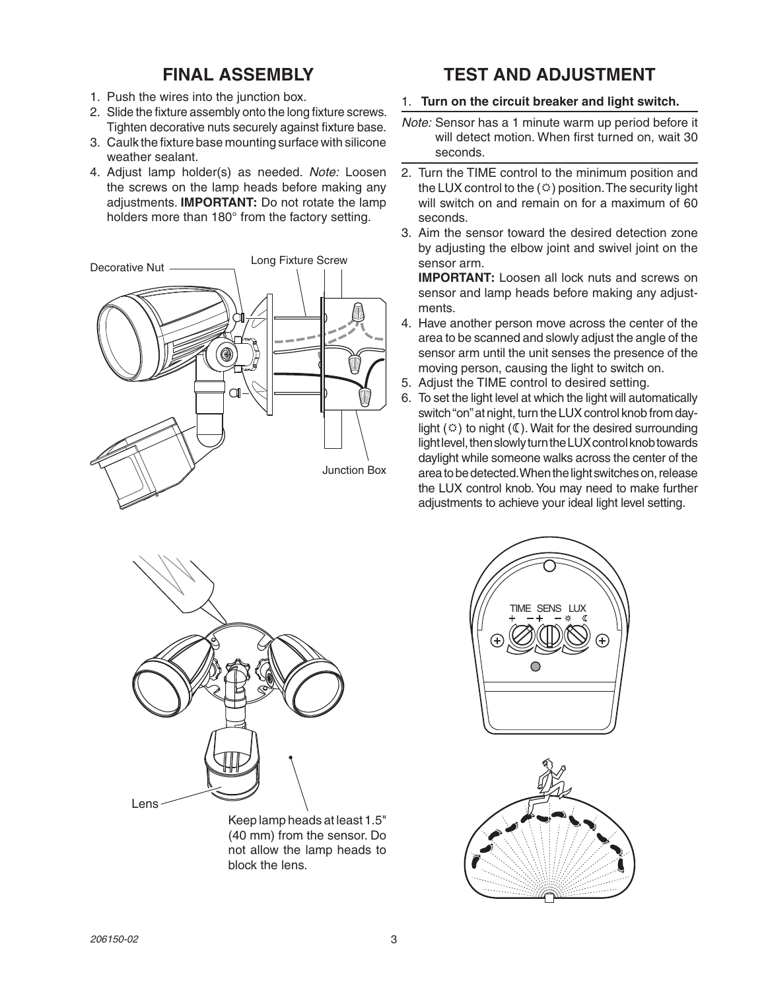## **FINAL ASSEMBLY**

- 1. Push the wires into the junction box.
- 2. Slide the fixture assembly onto the long fixture screws. Tighten decorative nuts securely against fixture base.
- 3. Caulk the fixture base mounting surface with silicone weather sealant.
- 4. Adjust lamp holder(s) as needed. Note: Loosen the screws on the lamp heads before making any adjustments. **IMPORTANT:** Do not rotate the lamp holders more than 180° from the factory setting.



## **TEST AND ADJUSTMENT**

- 1. Turn on the circuit breaker and light switch.
- Note: Sensor has a 1 minute warm up period before it will detect motion. When first turned on, wait 30 seconds.
- 2. Turn the TIME control to the minimum position and the LUX control to the  $(\circledcirc)$  position. The security light will switch on and remain on for a maximum of 60 seconds.
- 3. Aim the sensor toward the desired detection zone by adjusting the elbow joint and swivel joint on the sensor arm.

**IMPORTANT:** Loosen all lock nuts and screws on sensor and lamp heads before making any adjustments.

- 4. Have another person move across the center of the area to be scanned and slowly adjust the angle of the sensor arm until the unit senses the presence of the moving person, causing the light to switch on.
- 5. Adjust the TIME control to desired setting.
- 6. To set the light level at which the light will automatically switch "on" at night, turn the LUX control knob from daylight  $(\circledcirc)$  to night  $(\mathbb{C})$ . Wait for the desired surrounding light level, then slowly turn the LUX control knob towards daylight while someone walks across the center of the area to be detected. When the light switches on, release the LUX control knob. You may need to make further adjustments to achieve your ideal light level setting.



Keep lamp heads at least 1.5" (40 mm) from the sensor. Do not allow the lamp heads to block the lens.



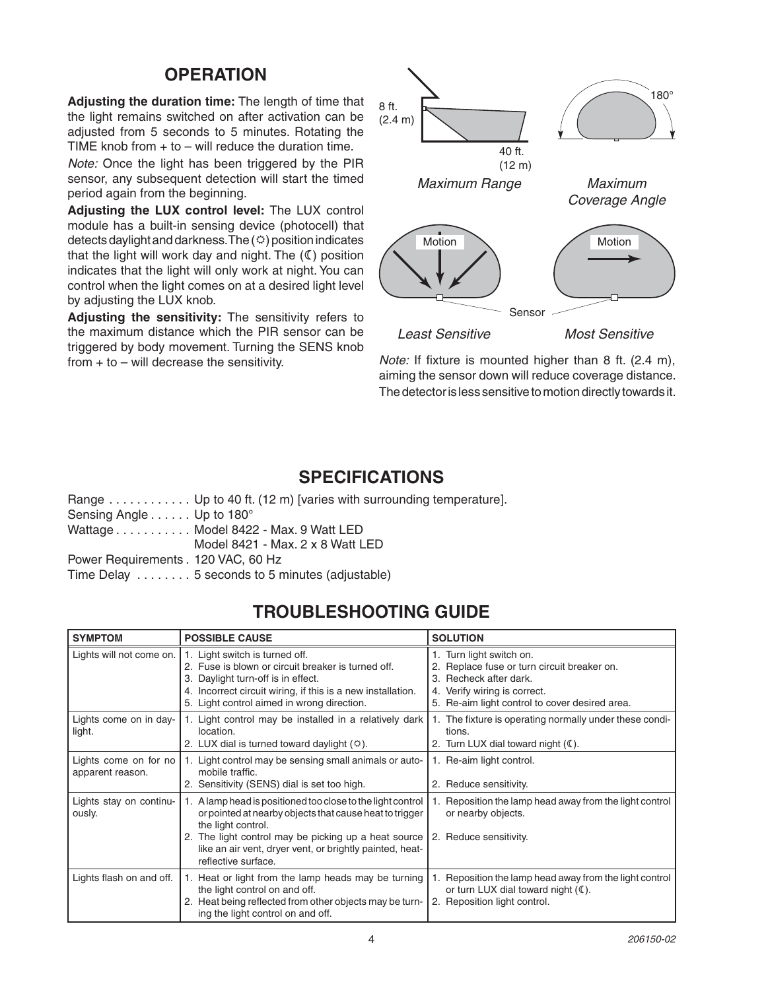#### **OPERATION**

Adjusting the duration time: The length of time that the light remains switched on after activation can be adjusted from 5 seconds to 5 minutes. Rotating the TIME knob from  $+$  to  $-$  will reduce the duration time.

Note: Once the light has been triggered by the PIR sensor, any subsequent detection will start the timed period again from the beginning.

Adjusting the LUX control level: The LUX control module has a built-in sensing device (photocell) that detects daylight and darkness. The  $(\circledcirc)$  position indicates that the light will work day and night. The  $(\mathbb{C})$  position indicates that the light will only work at night. You can control when the light comes on at a desired light level by adjusting the LUX knob.

Adjusting the sensitivity: The sensitivity refers to the maximum distance which the PIR sensor can be triggered by body movement. Turning the SENS knob from  $+$  to  $-$  will decrease the sensitivity.



Note: If fixture is mounted higher than 8 ft. (2.4 m), aiming the sensor down will reduce coverage distance. The detector is less sensitive to motion directly towards it.

#### **SPECIFICATIONS**

Range . . . . . . . . . . . Up to 40 ft. (12 m) [varies with surrounding temperature]. Sensing Angle . . . . . . Up to 180° Wattage . . . . . . . . . . Model 8422 - Max. 9 Watt LED Model 8421 - Max. 2 x 8 Watt LED Power Requirements . 120 VAC, 60 Hz Time Delay . . . . . . . . 5 seconds to 5 minutes (adjustable)

#### **TROUBLESHOOTING GUIDE**

| <b>SYMPTOM</b>                            | <b>POSSIBLE CAUSE</b>                                                                                                                                                                                                                                                                   | <b>SOLUTION</b>                                                                                                                                                                  |
|-------------------------------------------|-----------------------------------------------------------------------------------------------------------------------------------------------------------------------------------------------------------------------------------------------------------------------------------------|----------------------------------------------------------------------------------------------------------------------------------------------------------------------------------|
| Lights will not come on.                  | 1. Light switch is turned off.<br>2. Fuse is blown or circuit breaker is turned off.<br>3. Daylight turn-off is in effect.<br>4. Incorrect circuit wiring, if this is a new installation.<br>5. Light control aimed in wrong direction.                                                 | 1. Turn light switch on.<br>Replace fuse or turn circuit breaker on.<br>3. Recheck after dark.<br>4. Verify wiring is correct.<br>5. Re-aim light control to cover desired area. |
| Lights come on in day-<br>light.          | 1. Light control may be installed in a relatively dark<br>location.<br>2. LUX dial is turned toward daylight $(\circledcirc)$ .                                                                                                                                                         | 1. The fixture is operating normally under these condi-<br>tions.<br>2. Turn LUX dial toward night $(\mathbb{C})$ .                                                              |
| Lights come on for no<br>apparent reason. | 1. Light control may be sensing small animals or auto-<br>mobile traffic.<br>2. Sensitivity (SENS) dial is set too high.                                                                                                                                                                | 1. Re-aim light control.<br>2. Reduce sensitivity.                                                                                                                               |
| Lights stay on continu-<br>ously.         | 1. A lamp head is positioned too close to the light control<br>or pointed at nearby objects that cause heat to trigger<br>the light control.<br>2. The light control may be picking up a heat source<br>like an air vent, dryer vent, or brightly painted, heat-<br>reflective surface. | Reposition the lamp head away from the light control<br>or nearby objects.<br>2. Reduce sensitivity.                                                                             |
| Lights flash on and off.                  | 1. Heat or light from the lamp heads may be turning<br>the light control on and off.<br>2. Heat being reflected from other objects may be turn-<br>ing the light control on and off.                                                                                                    | Reposition the lamp head away from the light control<br>or turn LUX dial toward night $(\mathbb{C})$ .<br>2. Reposition light control.                                           |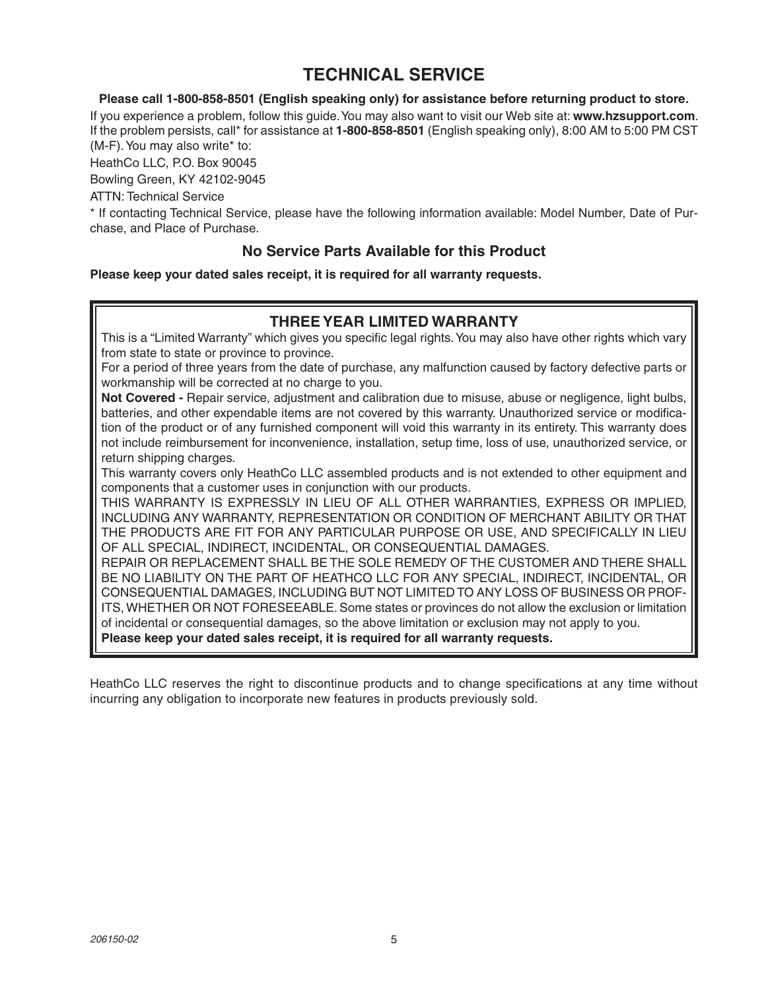## **TECHNICAL SERVICE**

Please call 1-800-858-8501 (English speaking only) for assistance before returning product to store.

If you experience a problem, follow this quide. You may also want to visit our Web site at: www.hzsupport.com. If the problem persists, call\* for assistance at 1-800-858-8501 (English speaking only), 8:00 AM to 5:00 PM CST (M-F). You may also write\* to:

HeathCo LLC, P.O. Box 90045

Bowling Green, KY 42102-9045

**ATTN: Technical Service** 

\* If contacting Technical Service, please have the following information available: Model Number, Date of Purchase, and Place of Purchase.

#### No Service Parts Available for this Product

Please keep your dated sales receipt, it is required for all warranty requests.

#### **THREE YEAR LIMITED WARRANTY**

This is a "Limited Warranty" which gives you specific legal rights. You may also have other rights which vary from state to state or province to province.

For a period of three years from the date of purchase, any malfunction caused by factory defective parts or workmanship will be corrected at no charge to you.

Not Covered - Repair service, adjustment and calibration due to misuse, abuse or negligence, light bulbs, batteries, and other expendable items are not covered by this warranty. Unauthorized service or modification of the product or of any furnished component will void this warranty in its entirety. This warranty does not include reimbursement for inconvenience, installation, setup time, loss of use, unauthorized service, or return shipping charges.

This warranty covers only HeathCo LLC assembled products and is not extended to other equipment and components that a customer uses in conjunction with our products.

THIS WARRANTY IS EXPRESSLY IN LIEU OF ALL OTHER WARRANTIES, EXPRESS OR IMPLIED, INCLUDING ANY WARRANTY. REPRESENTATION OR CONDITION OF MERCHANT ABILITY OR THAT THE PRODUCTS ARE FIT FOR ANY PARTICULAR PURPOSE OR USE, AND SPECIFICALLY IN LIEU OF ALL SPECIAL. INDIRECT. INCIDENTAL. OR CONSEQUENTIAL DAMAGES.

REPAIR OR REPLACEMENT SHALL BE THE SOLE REMEDY OF THE CUSTOMER AND THERE SHALL BE NO LIABILITY ON THE PART OF HEATHCO LLC FOR ANY SPECIAL, INDIRECT, INCIDENTAL, OR CONSEQUENTIAL DAMAGES, INCLUDING BUT NOT LIMITED TO ANY LOSS OF BUSINESS OR PROF-ITS, WHETHER OR NOT FORESEEABLE. Some states or provinces do not allow the exclusion or limitation of incidental or consequential damages, so the above limitation or exclusion may not apply to you. Please keep your dated sales receipt, it is required for all warranty requests.

HeathCo LLC reserves the right to discontinue products and to change specifications at any time without incurring any obligation to incorporate new features in products previously sold.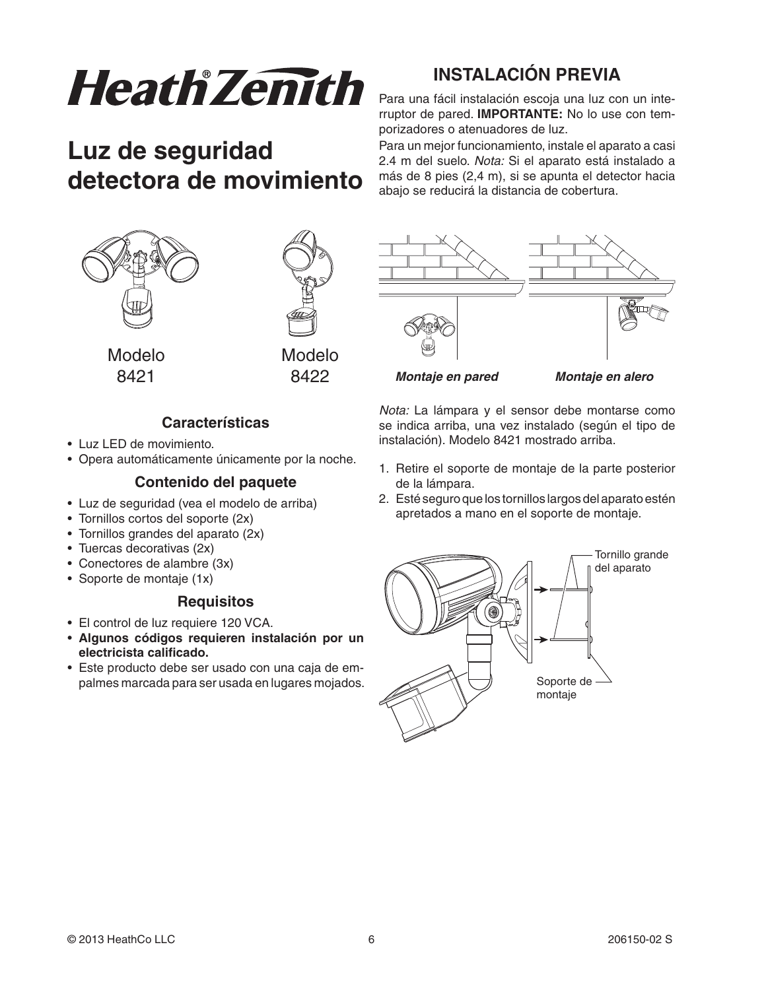

## **Luz de seguridad detectora de movimiento**

## **INSTALACIÓN PREVIA**

Para una fácil instalación escoja una luz con un interruptor de pared. **IMPORTANTE:** No lo use con temporizadores o atenuadores de luz.

Para un mejor funcionamiento, instale el aparato a casi 2.4 m del suelo. Nota: Si el aparato está instalado a más de 8 pies (2,4 m), si se apunta el detector hacia abajo se reducirá la distancia de cobertura.





 Modelo Modelo 8421 8422

#### **Características**

- Luz LED de movimiento.
- Opera automáticamente únicamente por la noche.

#### **Contenido del paquete**

- Luz de seguridad (vea el modelo de arriba)
- Tornillos cortos del soporte (2x)
- Tornillos grandes del aparato (2x)
- $\bullet$  Tuercas decorativas (2x)
- $\bullet$  Conectores de alambre (3x)
- Soporte de montaje (1x)

#### **Requisitos**

- El control de luz requiere 120 VCA.
- s **Algunos códigos requieren instalación por un electricista calificado.**
- Este producto debe ser usado con una caja de empalmes marcada para ser usada en lugares mojados.



 *Montaje en pared Montaje en alero*

Nota: La lámpara y el sensor debe montarse como se indica arriba, una vez instalado (según el tipo de instalación). Modelo 8421 mostrado arriba.

- 1. Retire el soporte de montaje de la parte posterior de la lámpara.
- 2. Esté seguro que los tornillos largos del aparato estén apretados a mano en el soporte de montaje.

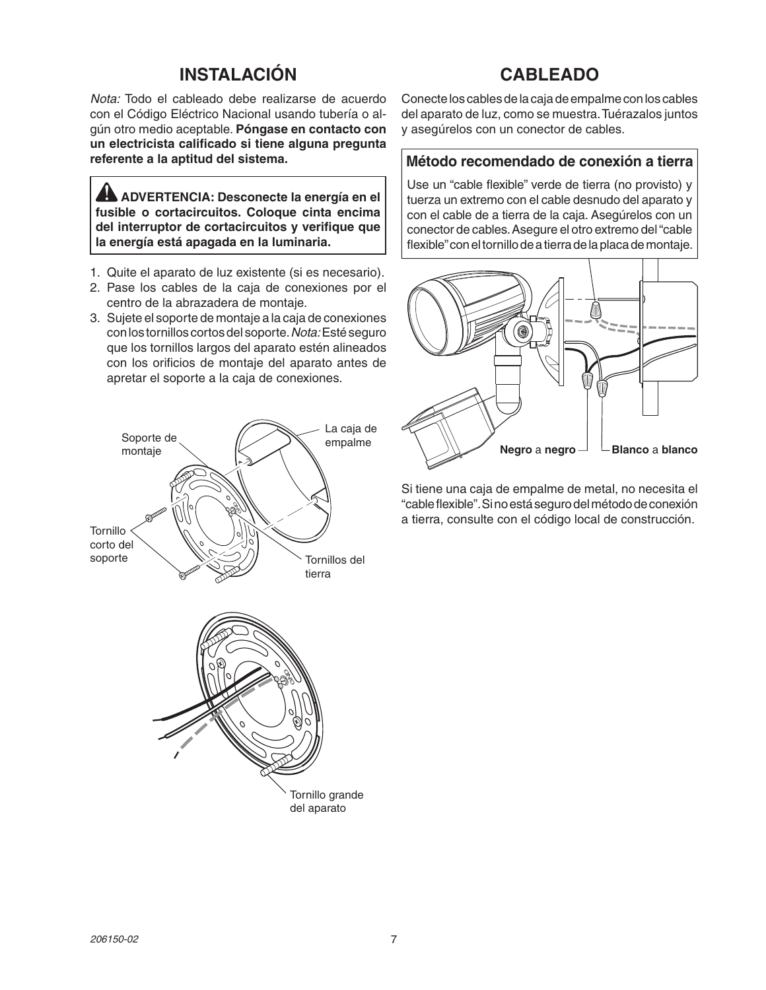## **INSTALACIÓN**

## **CABLEADO**

Nota: Todo el cableado debe realizarse de acuerdo con el Código Eléctrico Nacional usando tubería o algún otro medio aceptable. Póngase en contacto con **un electricista calificado si tiene alguna pregunta referente a la aptitud del sistema.**

 **ADVERTENCIA: Desconecte la energía en el fusible o cortacircuitos. Coloque cinta encima del interruptor de cortacircuitos y verifique que la energía está apagada en la luminaria.**

- 1. Quite el aparato de luz existente (si es necesario).
- 2. Pase los cables de la caja de conexiones por el centro de la abrazadera de montaje.
- 3. Sujete el soporte de montaje a la caja de conexiones con los tornillos cortos del soporte. Nota: Esté seguro que los tornillos largos del aparato estén alineados con los orificios de montaje del aparato antes de apretar el soporte a la caja de conexiones.



Conecte los cables de la caja de empalme con los cables del aparato de luz, como se muestra. Tuérazalos juntos y asegúrelos con un conector de cables.

#### **Método recomendado de conexión a tierra**

Use un "cable flexible" verde de tierra (no provisto) y tuerza un extremo con el cable desnudo del aparato y con el cable de a tierra de la caja. Asegúrelos con un conector de cables. Asegure el otro extremo del "cable flexible" con el tornillo de a tierra de la placa de montaje.



Si tiene una caja de empalme de metal, no necesita el "cable flexible". Si no está seguro del método de conexión a tierra, consulte con el código local de construcción.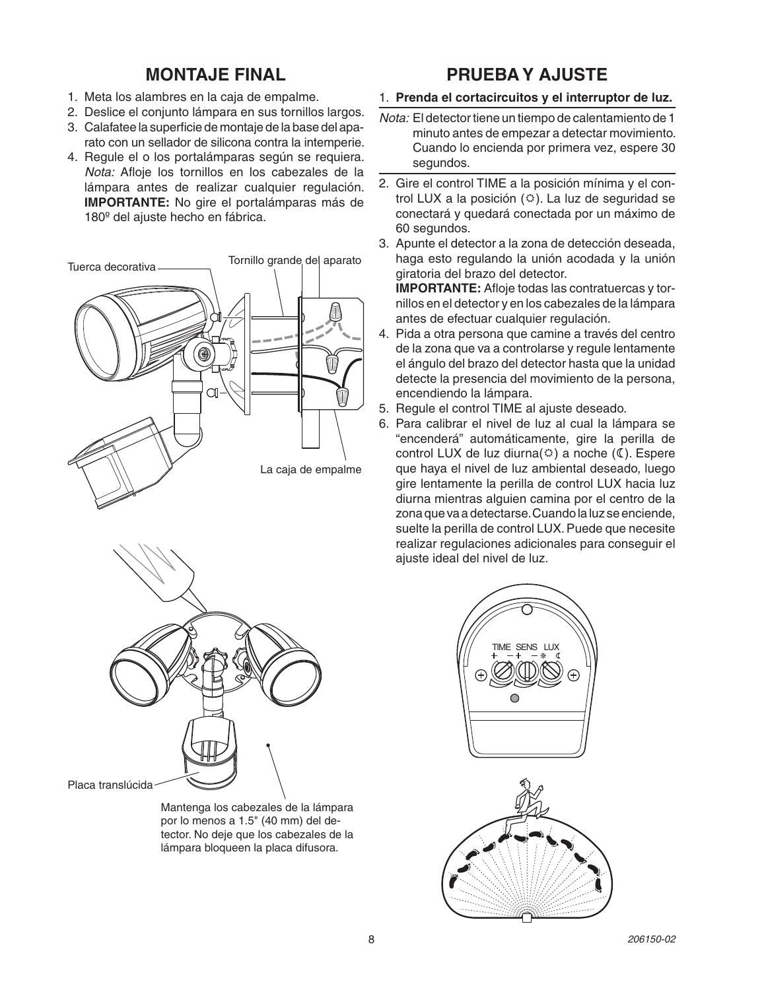## **MONTAJE FINAL**

- 1. Meta los alambres en la caja de empalme.
- 2. Deslice el coniunto lámpara en sus tornillos largos.
- 3. Calafatee la superficie de montaje de la base del aparato con un sellador de silicona contra la intemperie.
- 4. Regule el o los portalámparas según se reguiera. Nota: Afloje los tornillos en los cabezales de la lámpara antes de realizar cualquier regulación. **IMPORTANTE:** No gire el portalámparas más de 180<sup>°</sup> del ajuste hecho en fábrica.





Mantenga los cabezales de la lámpara por lo menos a 1.5" (40 mm) del detector. No deje que los cabezales de la lámpara bloqueen la placa difusora.

## **PRUEBAY AJUSTE**

#### 1. Prenda el cortacircuitos y el interruptor de luz.

- Nota: El detector tiene un tiempo de calentamiento de 1 minuto antes de empezar a detectar movimiento. Cuando lo encienda por primera vez, espere 30 segundos.
- 2. Gire el control TIME a la posición mínima y el control LUX a la posición  $(\circledcirc)$ . La luz de seguridad se conectará y quedará conectada por un máximo de 60 segundos.
- 3. Apunte el detector a la zona de detección deseada, haga esto regulando la unión acodada y la unión giratoria del brazo del detector.

**IMPORTANTE:** Afloje todas las contratuercas y tornillos en el detector y en los cabezales de la lámpara antes de efectuar cualquier regulación.

- 4. Pida a otra persona que camine a través del centro de la zona que va a controlarse y regule lentamente el ángulo del brazo del detector hasta que la unidad detecte la presencia del movimiento de la persona, encendiendo la lámpara.
- 5. Requie el control TIME al ajuste deseado.
- 6. Para calibrar el nivel de luz al cual la lámpara se "encenderá" automáticamente, gire la perilla de control LUX de luz diurna( $\circ$ ) a noche ( $\circ$ ). Espere que haya el nivel de luz ambiental deseado, luego gire lentamente la perilla de control LUX hacia luz diurna mientras alguien camina por el centro de la zona que va a detectarse. Cuando la luz se enciende, suelte la perilla de control LUX. Puede que necesite realizar regulaciones adicionales para conseguir el ajuste ideal del nivel de luz.



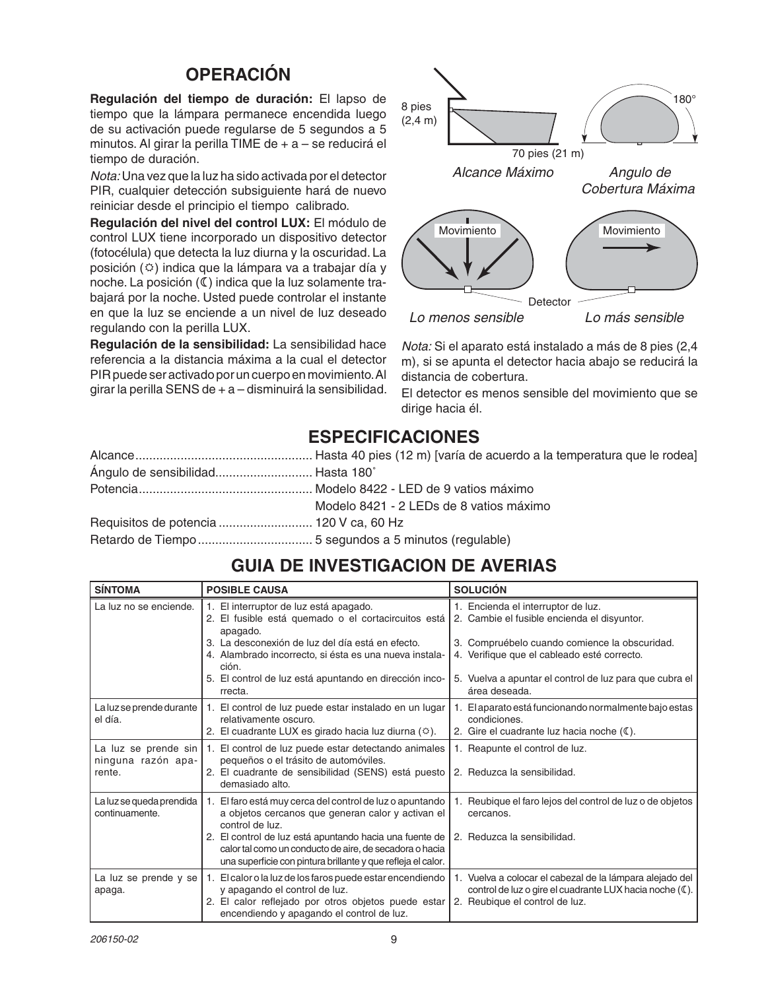## **OPERACIÓN**

Regulación del tiempo de duración: El lapso de tiempo que la lámpara permanece encendida luego de su activación puede regularse de 5 segundos a 5 minutos. Al girar la perilla TIME de + a - se reducirá el tiempo de duración.

Nota: Una vez que la luz ha sido activada por el detector PIR, cualquier detección subsiguiente hará de nuevo reiniciar desde el principio el tiempo calibrado.

Regulación del nivel del control LUX: El módulo de control LUX tiene incorporado un dispositivo detector (fotocélula) que detecta la luz diurna y la oscuridad. La posición ( $\circ$ ) indica que la lámpara va a trabajar día y noche. La posición (C) indica que la luz solamente trabajará por la noche. Usted puede controlar el instante en que la luz se enciende a un nivel de luz deseado regulando con la perilla LUX.

Regulación de la sensibilidad: La sensibilidad hace referencia a la distancia máxima a la cual el detector PIR puede ser activado por un cuerpo en movimiento. Al girar la perilla SENS de  $+ a$  - disminuirá la sensibilidad.



Nota: Si el aparato está instalado a más de 8 pies (2,4 m), si se apunta el detector hacia abajo se reducirá la distancia de cobertura.

El detector es menos sensible del movimiento que se dirige hacia él.

## **ESPECIFICACIONES**

| Ángulo de sensibilidad Hasta 180° |                                         |
|-----------------------------------|-----------------------------------------|
|                                   |                                         |
|                                   | Modelo 8421 - 2 LEDs de 8 vatios máximo |
|                                   |                                         |
|                                   |                                         |

## **GUIA DE INVESTIGACION DE AVERIAS**

| <b>SÍNTOMA</b>                                               | <b>POSIBLE CAUSA</b>                                                                                                                                                                           | <b>SOLUCIÓN</b>                                                                                                                                       |
|--------------------------------------------------------------|------------------------------------------------------------------------------------------------------------------------------------------------------------------------------------------------|-------------------------------------------------------------------------------------------------------------------------------------------------------|
| La luz no se enciende.                                       | 1. El interruptor de luz está apagado.<br>2. El fusible está quemado o el cortacircuitos está<br>apagado.                                                                                      | 1. Encienda el interruptor de luz.<br>2. Cambie el fusible encienda el disyuntor.                                                                     |
|                                                              | 3. La desconexión de luz del día está en efecto.<br>4. Alambrado incorrecto, si ésta es una nueva instala-<br>ción.                                                                            | 3. Compruébelo cuando comience la obscuridad.<br>4. Verifique que el cableado esté correcto.                                                          |
|                                                              | 5. El control de luz está apuntando en dirección inco-<br>rrecta.                                                                                                                              | 5. Vuelva a apuntar el control de luz para que cubra el<br>área deseada.                                                                              |
| La luz se prende durante $\vert$<br>el día.                  | 1. El control de luz puede estar instalado en un lugar<br>relativamente oscuro.<br>2. El cuadrante LUX es girado hacia luz diurna (0).                                                         | 1. El aparato está funcionando normalmente bajo estas<br>condiciones.<br>2. Gire el cuadrante luz hacia noche (C).                                    |
| La luz se prende sin $\vert$<br>ninguna razón apa-<br>rente. | 1. El control de luz puede estar detectando animales<br>pequeños o el trásito de automóviles.<br>2. El cuadrante de sensibilidad (SENS) está puesto<br>demasiado alto.                         | 1. Reapunte el control de luz.<br>2. Reduzca la sensibilidad.                                                                                         |
| La luz se queda prendida<br>continuamente.                   | 1. El faro está muy cerca del control de luz o apuntando<br>a objetos cercanos que generan calor y activan el<br>control de luz.                                                               | Reubique el faro lejos del control de luz o de objetos<br>cercanos.                                                                                   |
|                                                              | 2. El control de luz está apuntando hacia una fuente de<br>calor tal como un conducto de aire, de secadora o hacia<br>una superficie con pintura brillante y que refleja el calor.             | 2. Reduzca la sensibilidad.                                                                                                                           |
| La luz se prende y se<br>apaga.                              | 1. El calor o la luz de los faros puede estar encendiendo<br>y apagando el control de luz.<br>2. El calor reflejado por otros objetos puede estar<br>encendiendo y apagando el control de luz. | 1. Vuelva a colocar el cabezal de la lámpara alejado del<br>control de luz o gire el cuadrante LUX hacia noche (C).<br>2. Reubique el control de luz. |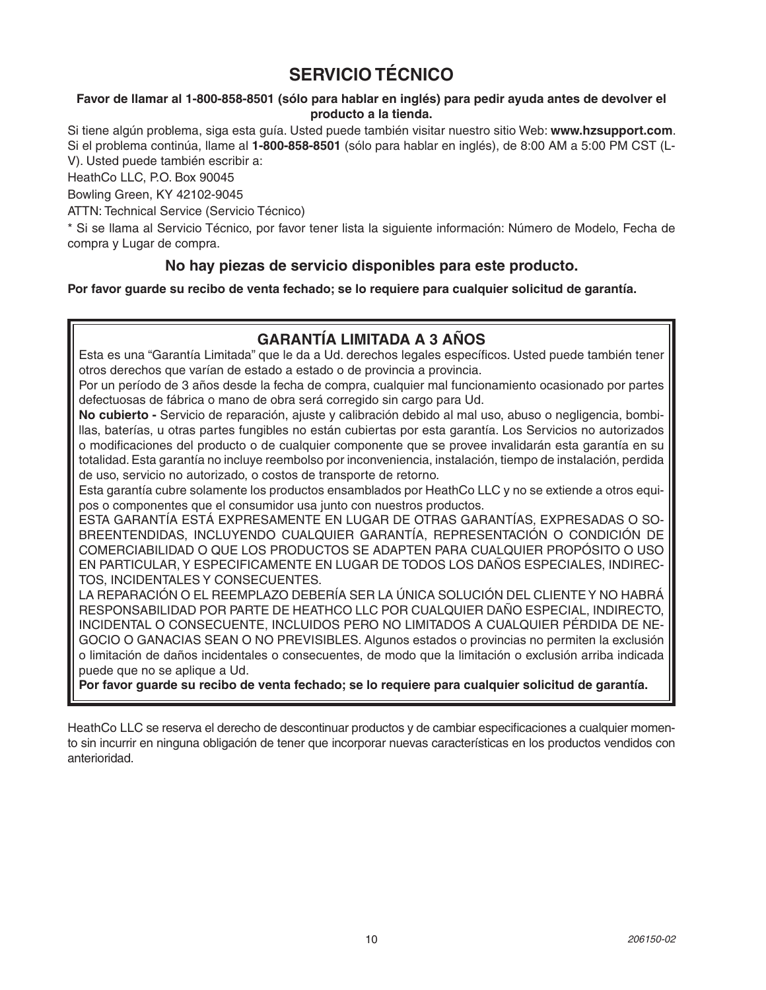## **SERVICIO TÉCNICO**

#### Favor de llamar al 1-800-858-8501 (sólo para hablar en inglés) para pedir ayuda antes de devolver el producto a la tienda.

Si tiene algún problema, siga esta quía. Usted puede también visitar nuestro sitio Web: www.hzsupport.com. Si el problema continúa, llame al 1-800-858-8501 (sólo para hablar en inglés), de 8:00 AM a 5:00 PM CST (L-V). Usted puede también escribir a:

HeathCo LLC, P.O. Box 90045

Bowling Green, KY 42102-9045

ATTN: Technical Service (Servicio Técnico)

\* Si se llama al Servicio Técnico, por favor tener lista la siguiente información: Número de Modelo, Fecha de compra y Lugar de compra.

#### No hay piezas de servicio disponibles para este producto.

Por favor guarde su recibo de venta fechado; se lo requiere para cualquier solicitud de garantía.

#### GARANTÍA LIMITADA A 3 AÑOS

Esta es una "Garantía Limitada" que le da a Ud. derechos legales específicos. Usted puede también tener otros derechos que varían de estado a estado o de provincia a provincia.

Por un período de 3 años desde la fecha de compra, cualquier mal funcionamiento ocasionado por partes defectuosas de fábrica o mano de obra será corregido sin cargo para Ud.

No cubierto - Servicio de reparación, ajuste y calibración debido al mal uso, abuso o negligencia, bombillas, baterías, u otras partes fungibles no están cubiertas por esta garantía. Los Servicios no autorizados o modificaciones del producto o de cualquier componente que se provee invalidarán esta garantía en su totalidad. Esta garantía no incluye reembolso por inconveniencia, instalación, tiempo de instalación, perdida de uso, servicio no autorizado, o costos de transporte de retorno.

Esta garantía cubre solamente los productos ensamblados por HeathCo LLC y no se extiende a otros equipos o componentes que el consumidor usa junto con nuestros productos.

ESTA GARANTÍA ESTÁ EXPRESAMENTE EN LUGAR DE OTRAS GARANTÍAS, EXPRESADAS O SO-BREENTENDIDAS, INCLUYENDO CUALQUIER GARANTÍA, REPRESENTACIÓN O CONDICIÓN DE COMERCIABILIDAD O QUE LOS PRODUCTOS SE ADAPTEN PARA CUALQUIER PROPÓSITO O USO EN PARTICULAR, Y ESPECIFICAMENTE EN LUGAR DE TODOS LOS DAÑOS ESPECIALES, INDIREC-TOS, INCIDENTALES Y CONSECUENTES.

LA REPARACIÓN O EL REEMPLAZO DEBERÍA SER LA ÚNICA SOLUCIÓN DEL CLIENTE Y NO HABRÁ RESPONSABILIDAD POR PARTE DE HEATHCO LLC POR CUALQUIER DAÑO ESPECIAL, INDIRECTO, INCIDENTAL O CONSECUENTE, INCLUIDOS PERO NO LIMITADOS A CUALQUIER PÉRDIDA DE NE-GOCIO O GANACIAS SEAN O NO PREVISIBLES. Algunos estados o provincias no permiten la exclusión o limitación de daños incidentales o consecuentes, de modo que la limitación o exclusión arriba indicada puede que no se aplique a Ud.

Por favor guarde su recibo de venta fechado; se lo requiere para cualquier solicitud de garantía.

HeathCo LLC se reserva el derecho de descontinuar productos y de cambiar especificaciones a cualquier momento sin incurrir en ninguna obligación de tener que incorporar nuevas características en los productos vendidos con anterioridad.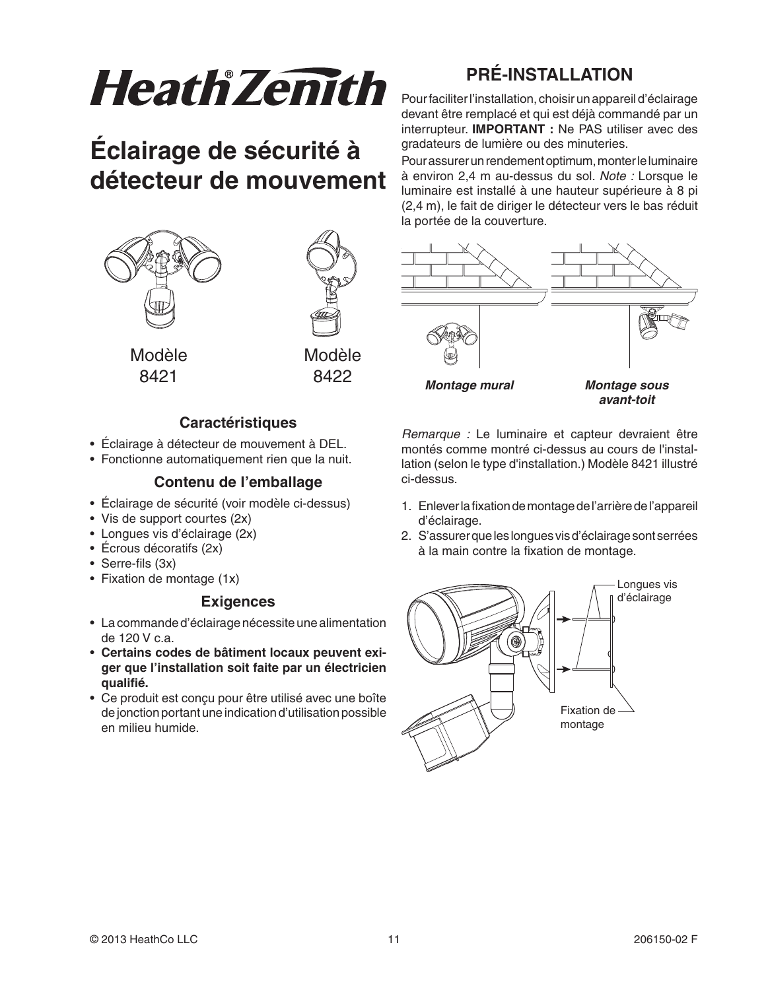# **HeathZenith**

# Éclairage de sécurité à détecteur de mouvement



#### **Caractéristiques**

- Éclairage à détecteur de mouvement à DEL.
- Fonctionne automatiquement rien que la nuit.

#### Contenu de l'emballage

- · Éclairage de sécurité (voir modèle ci-dessus)
- Vis de support courtes (2x)
- Longues vis d'éclairage (2x)
- $\bullet$  Écrous décoratifs (2x)
- Serre-fils  $(3x)$
- Fixation de montage  $(1x)$

#### **Exigences**

- La commande d'éclairage nécessite une alimentation de 120 V c.a.
- Certains codes de bâtiment locaux peuvent exiger que l'installation soit faite par un électricien qualifié.
- Ce produit est conçu pour être utilisé avec une boîte de jonction portant une indication d'utilisation possible en milieu humide.

## **PRÉ-INSTALLATION**

Pour faciliter l'installation, choisir un appareil d'éclairage devant être remplacé et qui est déjà commandé par un interrupteur. IMPORTANT : Ne PAS utiliser avec des gradateurs de lumière ou des minuteries.

Pour assurer un rendement optimum, monter le luminaire à environ 2,4 m au-dessus du sol. Note : Lorsque le luminaire est installé à une hauteur supérieure à 8 pi (2,4 m), le fait de diriger le détecteur vers le bas réduit la portée de la couverture.



Remarque : Le luminaire et capteur devraient être montés comme montré ci-dessus au cours de l'installation (selon le type d'installation.) Modèle 8421 illustré ci-dessus.

- 1. Enlever la fixation de montage de l'arrière de l'appareil d'éclairage.
- 2. S'assurer que les longues vis d'éclairage sont serrées à la main contre la fixation de montage.

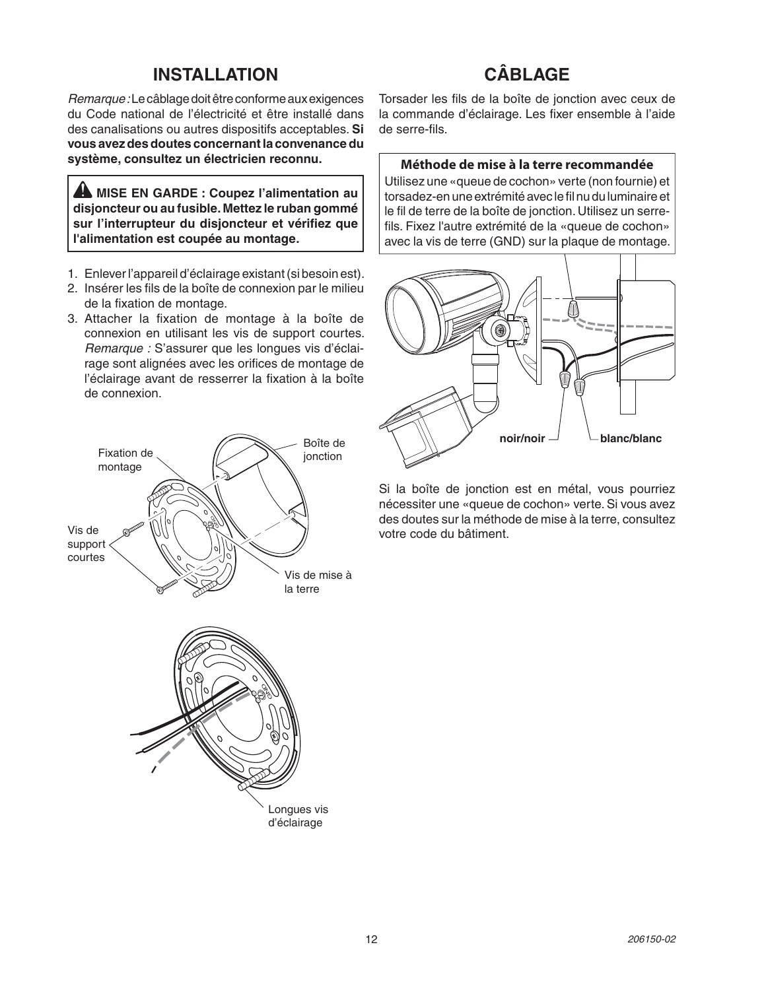#### **INSTALLATION**

## CÂBLAGF

Remarque : Le câblage doit être conforme aux exigences du Code national de l'électricité et être installé dans des canalisations ou autres dispositifs acceptables. Si vous avez des doutes concernant la convenance du système, consultez un électricien reconnu.

A MISE EN GARDE : Coupez l'alimentation au disjoncteur ou au fusible. Mettez le ruban gommé sur l'interrupteur du disjoncteur et vérifiez que l'alimentation est coupée au montage.

- 1. Enlever l'appareil d'éclairage existant (si besoin est).
- 2. Insérer les fils de la boîte de connexion par le milieu de la fixation de montage.
- 3. Attacher la fixation de montage à la boîte de connexion en utilisant les vis de support courtes. Remarque : S'assurer que les lonques vis d'éclairage sont alignées avec les orifices de montage de l'éclairage avant de resserrer la fixation à la boîte de connexion.



Torsader les fils de la boîte de jonction avec ceux de la commande d'éclairage. Les fixer ensemble à l'aide de serre-fils.

#### Méthode de mise à la terre recommandée

Utilisez une «queue de cochon» verte (non fournie) et torsadez-en une extrémité avec le fil nu du luminaire et le fil de terre de la boîte de jonction. Utilisez un serrefils. Fixez l'autre extrémité de la «queue de cochon» avec la vis de terre (GND) sur la plaque de montage.



Si la boîte de jonction est en métal, vous pourriez nécessiter une «queue de cochon» verte. Si vous avez des doutes sur la méthode de mise à la terre, consultez votre code du bâtiment.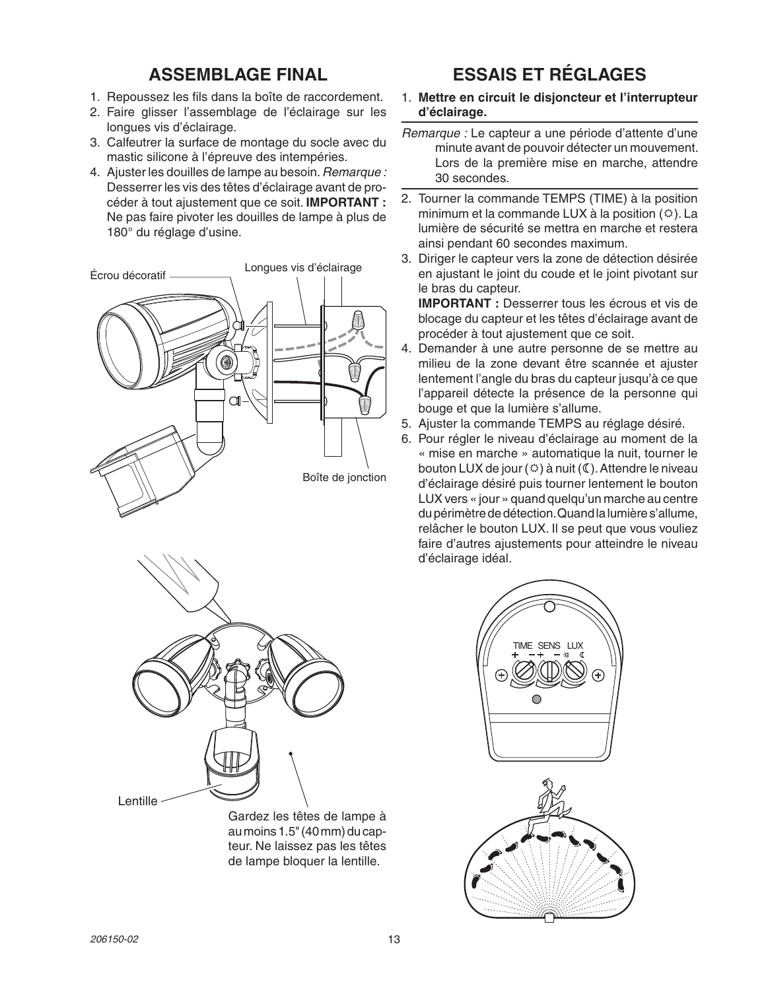## **ASSEMBLAGE FINAL**

- 1. Repoussez les fils dans la boîte de raccordement.
- 2. Faire glisser l'assemblage de l'éclairage sur les lonques vis d'éclairage.
- 3. Calfeutrer la surface de montage du socle avec du mastic silicone à l'épreuve des intempéries.
- 4. Ajuster les douilles de lampe au besoin. Remarque : Desserrer les vis des têtes d'éclairage avant de procéder à tout ajustement que ce soit. IMPORTANT : Ne pas faire pivoter les douilles de lampe à plus de 180° du réglage d'usine.





Gardez les têtes de lampe à au moins 1.5" (40 mm) du capteur. Ne laissez pas les têtes de lampe bloquer la lentille.

## **ESSAIS ET RÉGLAGES**

- 1. Mettre en circuit le disjoncteur et l'interrupteur d'éclairage.
- Remarque : Le capteur a une période d'attente d'une minute avant de pouvoir détecter un mouvement. Lors de la première mise en marche, attendre 30 secondes.
- 2. Tourner la commande TEMPS (TIME) à la position minimum et la commande LUX à la position  $($   $\circ$ ). La lumière de sécurité se mettra en marche et restera ainsi pendant 60 secondes maximum.
- 3. Diriger le capteur vers la zone de détection désirée en ajustant le joint du coude et le joint pivotant sur le bras du capteur.

**IMPORTANT :** Desserrer tous les écrous et vis de blocage du capteur et les têtes d'éclairage avant de procéder à tout ajustement que ce soit.

- 4. Demander à une autre personne de se mettre au milieu de la zone devant être scannée et ajuster lentement l'angle du bras du capteur jusqu'à ce que l'appareil détecte la présence de la personne qui bouge et que la lumière s'allume.
- 5. Ajuster la commande TEMPS au réglage désiré.
- 6. Pour régler le niveau d'éclairage au moment de la « mise en marche » automatique la nuit, tourner le bouton LUX de jour ( $\circledcirc$ ) à nuit ( $\circledcirc$ ). Attendre le niveau d'éclairage désiré puis tourner lentement le bouton LUX vers « jour » quand quelqu'un marche au centre du périmètre de détection. Quand la lumière s'allume, relâcher le bouton LUX. Il se peut que vous vouliez faire d'autres ajustements pour atteindre le niveau d'éclairage idéal.



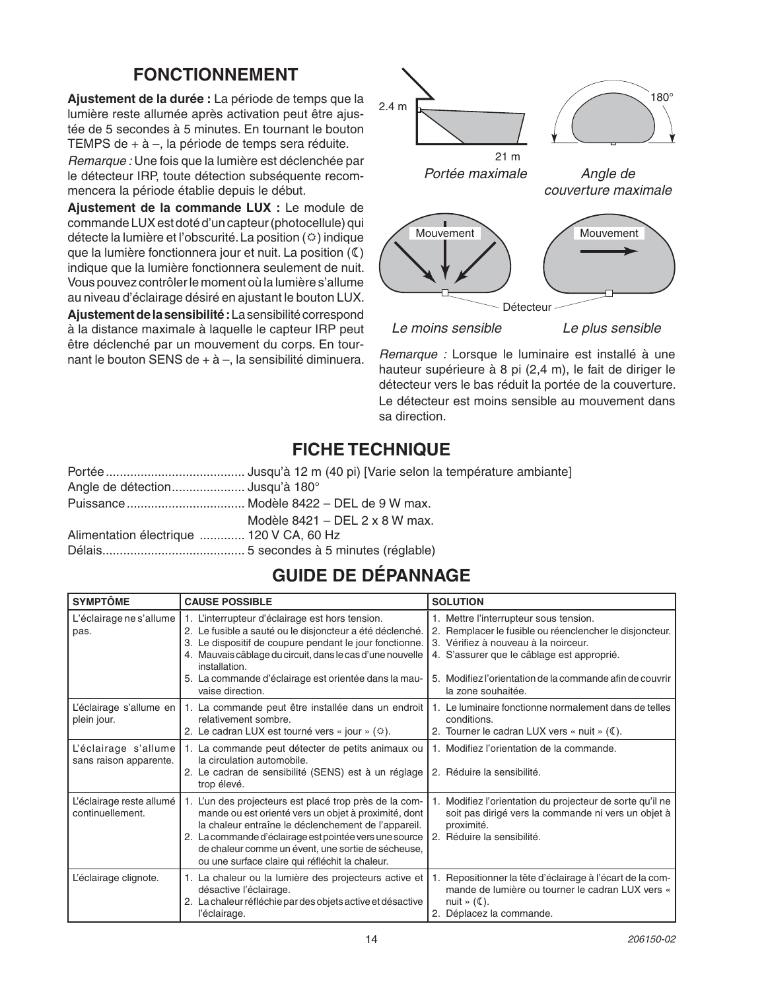## **FONCTIONNEMENT**

Aiustement de la durée : La période de temps que la lumière reste allumée après activation peut être ajustée de 5 secondes à 5 minutes. En tournant le bouton TEMPS de + à -, la période de temps sera réduite.

Remarque : Une fois que la lumière est déclenchée par le détecteur IRP, toute détection subséquente recommencera la période établie depuis le début.

Ajustement de la commande LUX : Le module de commande LUX est doté d'un capteur (photocellule) qui détecte la lumière et l'obscurité. La position  $(\circledcirc)$  indique que la lumière fonctionnera jour et nuit. La position (C) indique que la lumière fonctionnera seulement de nuit. Vous pouvez contrôler le moment où la lumière s'allume au niveau d'éclairage désiré en ajustant le bouton LUX.

Ajustement de la sensibilité : La sensibilité correspond à la distance maximale à laquelle le capteur IRP peut être déclenché par un mouvement du corps. En tournant le bouton SENS de + à -, la sensibilité diminuera.



Remarque : Lorsque le luminaire est installé à une hauteur supérieure à 8 pi (2,4 m), le fait de diriger le détecteur vers le bas réduit la portée de la couverture. Le détecteur est moins sensible au mouvement dans sa direction.

## **FICHE TECHNIQUE**

| Angle de détection Jusqu'à 180°          |                                |
|------------------------------------------|--------------------------------|
|                                          |                                |
|                                          | Modèle 8421 – DEL 2 x 8 W max. |
| Alimentation électrique  120 V CA, 60 Hz |                                |
|                                          |                                |

## **GUIDE DE DÉPANNAGE**

| <b>SYMPTÔME</b>                                | <b>CAUSE POSSIBLE</b>                                                                                                                                                                                                                                                                                                                    | <b>SOLUTION</b>                                                                                                                                                                                                                                                           |
|------------------------------------------------|------------------------------------------------------------------------------------------------------------------------------------------------------------------------------------------------------------------------------------------------------------------------------------------------------------------------------------------|---------------------------------------------------------------------------------------------------------------------------------------------------------------------------------------------------------------------------------------------------------------------------|
| L'éclairage ne s'allume<br>pas.                | 1. L'interrupteur d'éclairage est hors tension.<br>2. Le fusible a sauté ou le disjoncteur a été déclenché.<br>3. Le dispositif de coupure pendant le jour fonctionne.<br>4. Mauvais câblage du circuit, dans le cas d'une nouvelle<br>installation.<br>5. La commande d'éclairage est orientée dans la mau-<br>vaise direction.         | 1. Mettre l'interrupteur sous tension.<br>2. Remplacer le fusible ou réenclencher le disjoncteur.<br>3. Vérifiez à nouveau à la noirceur.<br>4. S'assurer que le câblage est approprié.<br>5. Modifiez l'orientation de la commande afin de couvrir<br>la zone souhaitée. |
| plein jour.                                    | L'éclairage s'allume en   1. La commande peut être installée dans un endroit<br>relativement sombre.<br>2. Le cadran LUX est tourné vers « jour » $(\circledcirc)$ .                                                                                                                                                                     | 1. Le luminaire fonctionne normalement dans de telles<br>conditions.<br>2. Tourner le cadran LUX vers « nuit » (C).                                                                                                                                                       |
| L'éclairage s'allume<br>sans raison apparente. | 1. La commande peut détecter de petits animaux ou<br>la circulation automobile.<br>2. Le cadran de sensibilité (SENS) est à un réglage<br>trop élevé.                                                                                                                                                                                    | 1. Modifiez l'orientation de la commande.<br>2. Réduire la sensibilité.                                                                                                                                                                                                   |
| L'éclairage reste allumé<br>continuellement.   | 1. L'un des projecteurs est placé trop près de la com-<br>mande ou est orienté vers un objet à proximité, dont<br>la chaleur entraîne le déclenchement de l'appareil.<br>2. La commande d'éclairage est pointée vers une source<br>de chaleur comme un évent, une sortie de sécheuse,<br>ou une surface claire qui réfléchit la chaleur. | Modifiez l'orientation du projecteur de sorte qu'il ne<br>1.<br>soit pas dirigé vers la commande ni vers un objet à<br>proximité.<br>Réduire la sensibilité.<br>2.                                                                                                        |
| L'éclairage clignote.                          | 1. La chaleur ou la lumière des projecteurs active et<br>désactive l'éclairage.<br>2. La chaleur réfléchie par des objets active et désactive<br>l'éclairage.                                                                                                                                                                            | Repositionner la tête d'éclairage à l'écart de la com-<br>1.<br>mande de lumière ou tourner le cadran LUX vers «<br>nuit » $(\mathbb{C})$ .<br>2. Déplacez la commande.                                                                                                   |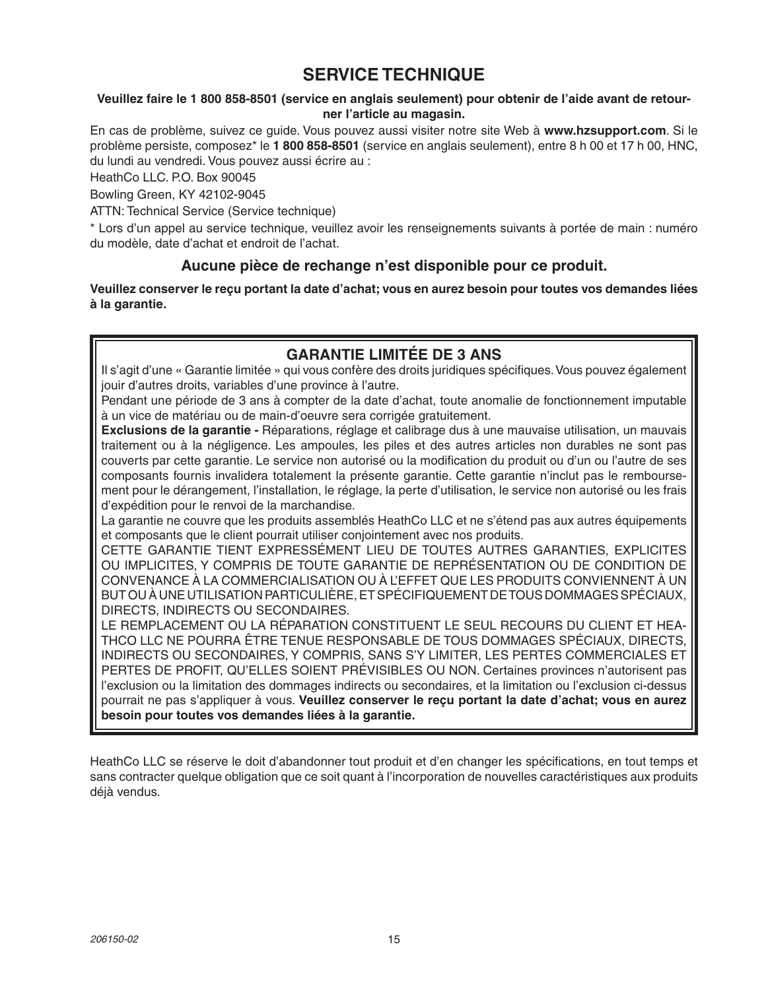## **SERVICE TECHNIQUE**

#### Veuillez faire le 1 800 858-8501 (service en anglais seulement) pour obtenir de l'aide avant de retourner l'article au magasin.

En cas de problème, suivez ce quide. Vous pouvez aussi visiter notre site Web à www.hzsupport.com. Si le problème persiste, composez<sup>\*</sup> le 1 800 858-8501 (service en anglais seulement), entre 8 h 00 et 17 h 00, HNC, du lundi au vendredi. Vous pouvez aussi écrire au :

HeathCo LLC. P.O. Box 90045

Bowling Green, KY 42102-9045

ATTN: Technical Service (Service technique)

\* Lors d'un appel au service technique, veuillez avoir les renseignements suivants à portée de main : numéro du modèle, date d'achat et endroit de l'achat.

#### Aucune pièce de rechange n'est disponible pour ce produit.

Veuillez conserver le reçu portant la date d'achat; vous en aurez besoin pour toutes vos demandes liées à la garantie.

#### **GARANTIE LIMITÉE DE 3 ANS**

Il s'agit d'une « Garantie limitée » qui vous confère des droits juridiques spécifiques. Vous pouvez également jouir d'autres droits, variables d'une province à l'autre.

Pendant une période de 3 ans à compter de la date d'achat, toute anomalie de fonctionnement imputable à un vice de matériau ou de main-d'oeuvre sera corrigée gratuitement.

Exclusions de la garantie - Réparations, réglage et calibrage dus à une mauvaise utilisation, un mauvais traitement ou à la négligence. Les ampoules, les piles et des autres articles non durables ne sont pas couverts par cette garantie. Le service non autorisé ou la modification du produit ou d'un ou l'autre de ses composants fournis invalidera totalement la présente garantie. Cette garantie n'inclut pas le remboursement pour le dérangement, l'installation, le réglage, la perte d'utilisation, le service non autorisé ou les frais d'expédition pour le renvoi de la marchandise.

La garantie ne couvre que les produits assemblés HeathCo LLC et ne s'étend pas aux autres équipements et composants que le client pourrait utiliser conjointement avec nos produits.

CETTE GARANTIE TIENT EXPRESSÉMENT LIEU DE TOUTES AUTRES GARANTIES, EXPLICITES OU IMPLICITES, Y COMPRIS DE TOUTE GARANTIE DE REPRÉSENTATION OU DE CONDITION DE CONVENANCE À LA COMMERCIALISATION OU À L'EFFET QUE LES PRODUITS CONVIENNENT À UN BUT OU À UNE UTILISATION PARTICULIÈRE, ET SPÉCIFIQUEMENT DE TOUS DOMMAGES SPÉCIAUX, DIRECTS. INDIRECTS OU SECONDAIRES.

LE REMPLACEMENT OU LA RÉPARATION CONSTITUENT LE SEUL RECOURS DU CLIENT ET HEA-THCO LLC NE POURRA ÊTRE TENUE RESPONSABLE DE TOUS DOMMAGES SPÉCIAUX, DIRECTS, INDIRECTS OU SECONDAIRES, Y COMPRIS, SANS S'Y LIMITER, LES PERTES COMMERCIALES ET PERTES DE PROFIT, QU'ELLES SOIENT PRÉVISIBLES OU NON. Certaines provinces n'autorisent pas l'exclusion ou la limitation des dommages indirects ou secondaires, et la limitation ou l'exclusion ci-dessus pourrait ne pas s'appliquer à vous. Veuillez conserver le reçu portant la date d'achat; vous en aurez besoin pour toutes vos demandes liées à la garantie.

HeathCo LLC se réserve le doit d'abandonner tout produit et d'en changer les spécifications, en tout temps et sans contracter quelque obligation que ce soit quant à l'incorporation de nouvelles caractéristiques aux produits déjà vendus.